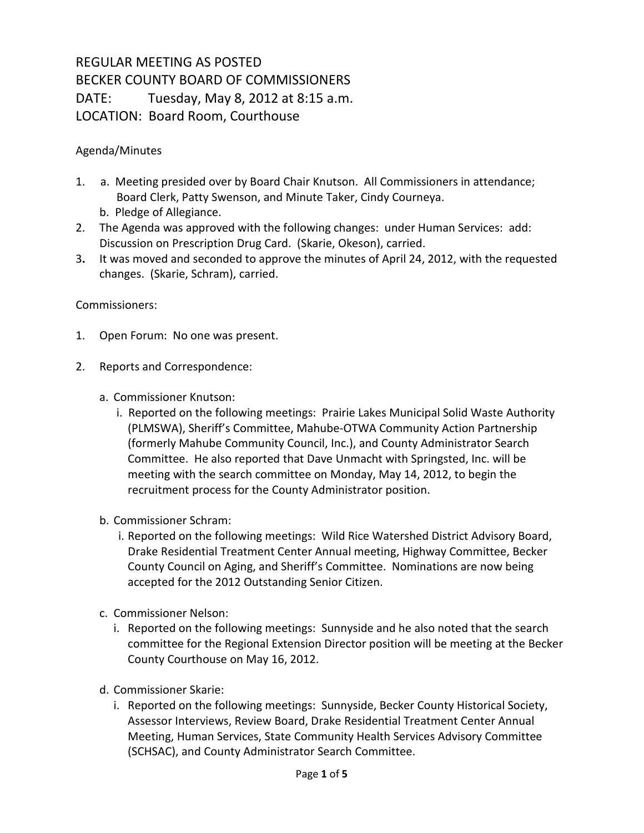## REGULAR MEETING AS POSTED BECKER COUNTY BOARD OF COMMISSIONERS DATE: Tuesday, May 8, 2012 at 8:15 a.m. LOCATION: Board Room, Courthouse

## Agenda/Minutes

- 1. a. Meeting presided over by Board Chair Knutson. All Commissioners in attendance; Board Clerk, Patty Swenson, and Minute Taker, Cindy Courneya.
	- b. Pledge of Allegiance.
- 2. The Agenda was approved with the following changes: under Human Services: add: Discussion on Prescription Drug Card. (Skarie, Okeson), carried.
- 3**.** It was moved and seconded to approve the minutes of April 24, 2012, with the requested changes. (Skarie, Schram), carried.

## Commissioners:

- 1. Open Forum: No one was present.
- 2. Reports and Correspondence:
	- a. Commissioner Knutson:
		- i. Reported on the following meetings: Prairie Lakes Municipal Solid Waste Authority (PLMSWA), Sheriff's Committee, Mahube-OTWA Community Action Partnership (formerly Mahube Community Council, Inc.), and County Administrator Search Committee. He also reported that Dave Unmacht with Springsted, Inc. will be meeting with the search committee on Monday, May 14, 2012, to begin the recruitment process for the County Administrator position.
	- b. Commissioner Schram:
		- i. Reported on the following meetings: Wild Rice Watershed District Advisory Board, Drake Residential Treatment Center Annual meeting, Highway Committee, Becker County Council on Aging, and Sheriff's Committee. Nominations are now being accepted for the 2012 Outstanding Senior Citizen.
	- c. Commissioner Nelson:
		- i. Reported on the following meetings: Sunnyside and he also noted that the search committee for the Regional Extension Director position will be meeting at the Becker County Courthouse on May 16, 2012.
	- d. Commissioner Skarie:
		- i. Reported on the following meetings: Sunnyside, Becker County Historical Society, Assessor Interviews, Review Board, Drake Residential Treatment Center Annual Meeting, Human Services, State Community Health Services Advisory Committee (SCHSAC), and County Administrator Search Committee.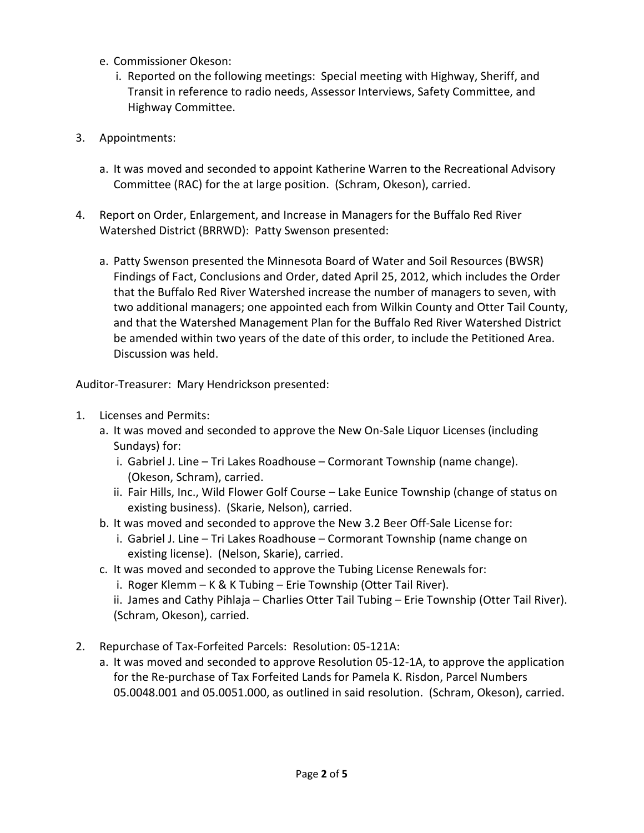- e. Commissioner Okeson:
	- i. Reported on the following meetings: Special meeting with Highway, Sheriff, and Transit in reference to radio needs, Assessor Interviews, Safety Committee, and Highway Committee.
- 3. Appointments:
	- a. It was moved and seconded to appoint Katherine Warren to the Recreational Advisory Committee (RAC) for the at large position. (Schram, Okeson), carried.
- 4. Report on Order, Enlargement, and Increase in Managers for the Buffalo Red River Watershed District (BRRWD): Patty Swenson presented:
	- a. Patty Swenson presented the Minnesota Board of Water and Soil Resources (BWSR) Findings of Fact, Conclusions and Order, dated April 25, 2012, which includes the Order that the Buffalo Red River Watershed increase the number of managers to seven, with two additional managers; one appointed each from Wilkin County and Otter Tail County, and that the Watershed Management Plan for the Buffalo Red River Watershed District be amended within two years of the date of this order, to include the Petitioned Area. Discussion was held.

Auditor-Treasurer: Mary Hendrickson presented:

- 1. Licenses and Permits:
	- a. It was moved and seconded to approve the New On-Sale Liquor Licenses (including Sundays) for:
		- i. Gabriel J. Line Tri Lakes Roadhouse Cormorant Township (name change). (Okeson, Schram), carried.
		- ii. Fair Hills, Inc., Wild Flower Golf Course Lake Eunice Township (change of status on existing business). (Skarie, Nelson), carried.
	- b. It was moved and seconded to approve the New 3.2 Beer Off-Sale License for:
		- i. Gabriel J. Line Tri Lakes Roadhouse Cormorant Township (name change on existing license). (Nelson, Skarie), carried.
	- c. It was moved and seconded to approve the Tubing License Renewals for:
		- i. Roger Klemm K & K Tubing Erie Township (Otter Tail River).

ii. James and Cathy Pihlaja – Charlies Otter Tail Tubing – Erie Township (Otter Tail River). (Schram, Okeson), carried.

- 2. Repurchase of Tax-Forfeited Parcels: Resolution: 05-121A:
	- a. It was moved and seconded to approve Resolution 05-12-1A, to approve the application for the Re-purchase of Tax Forfeited Lands for Pamela K. Risdon, Parcel Numbers 05.0048.001 and 05.0051.000, as outlined in said resolution. (Schram, Okeson), carried.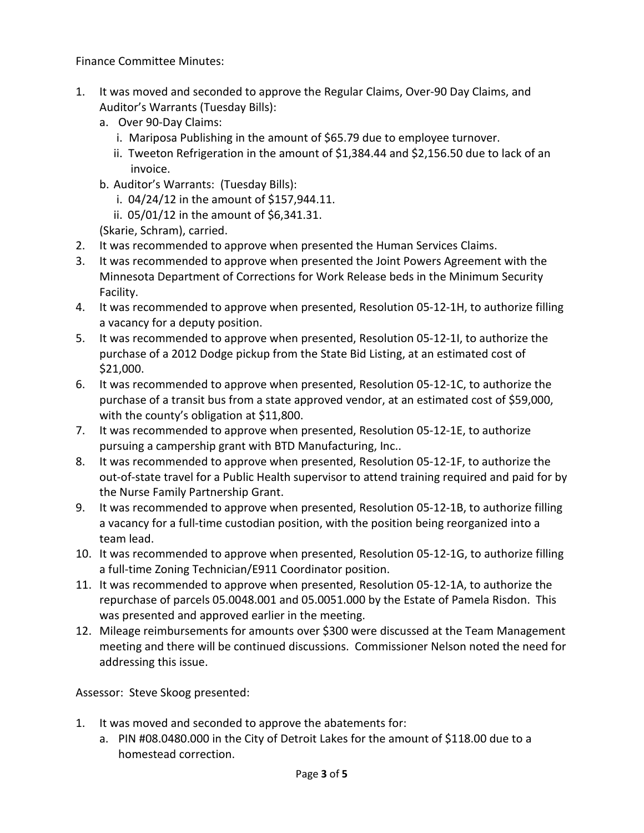Finance Committee Minutes:

- 1. It was moved and seconded to approve the Regular Claims, Over-90 Day Claims, and Auditor's Warrants (Tuesday Bills):
	- a. Over 90-Day Claims:
		- i. Mariposa Publishing in the amount of \$65.79 due to employee turnover.
		- ii. Tweeton Refrigeration in the amount of \$1,384.44 and \$2,156.50 due to lack of an invoice.
	- b. Auditor's Warrants: (Tuesday Bills):
		- i. 04/24/12 in the amount of \$157,944.11.
		- ii. 05/01/12 in the amount of \$6,341.31.
	- (Skarie, Schram), carried.
- 2. It was recommended to approve when presented the Human Services Claims.
- 3. It was recommended to approve when presented the Joint Powers Agreement with the Minnesota Department of Corrections for Work Release beds in the Minimum Security Facility.
- 4. It was recommended to approve when presented, Resolution 05-12-1H, to authorize filling a vacancy for a deputy position.
- 5. It was recommended to approve when presented, Resolution 05-12-1I, to authorize the purchase of a 2012 Dodge pickup from the State Bid Listing, at an estimated cost of \$21,000.
- 6. It was recommended to approve when presented, Resolution 05-12-1C, to authorize the purchase of a transit bus from a state approved vendor, at an estimated cost of \$59,000, with the county's obligation at \$11,800.
- 7. It was recommended to approve when presented, Resolution 05-12-1E, to authorize pursuing a campership grant with BTD Manufacturing, Inc..
- 8. It was recommended to approve when presented, Resolution 05-12-1F, to authorize the out-of-state travel for a Public Health supervisor to attend training required and paid for by the Nurse Family Partnership Grant.
- 9. It was recommended to approve when presented, Resolution 05-12-1B, to authorize filling a vacancy for a full-time custodian position, with the position being reorganized into a team lead.
- 10. It was recommended to approve when presented, Resolution 05-12-1G, to authorize filling a full-time Zoning Technician/E911 Coordinator position.
- 11. It was recommended to approve when presented, Resolution 05-12-1A, to authorize the repurchase of parcels 05.0048.001 and 05.0051.000 by the Estate of Pamela Risdon. This was presented and approved earlier in the meeting.
- 12. Mileage reimbursements for amounts over \$300 were discussed at the Team Management meeting and there will be continued discussions. Commissioner Nelson noted the need for addressing this issue.

Assessor: Steve Skoog presented:

- 1. It was moved and seconded to approve the abatements for:
	- a. PIN #08.0480.000 in the City of Detroit Lakes for the amount of \$118.00 due to a homestead correction.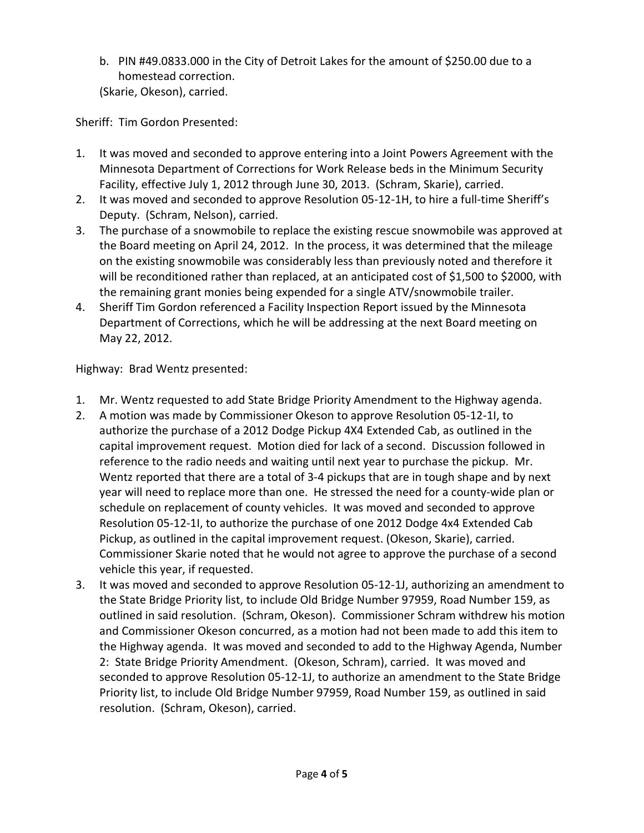b. PIN #49.0833.000 in the City of Detroit Lakes for the amount of \$250.00 due to a homestead correction. (Skarie, Okeson), carried.

Sheriff: Tim Gordon Presented:

- 1. It was moved and seconded to approve entering into a Joint Powers Agreement with the Minnesota Department of Corrections for Work Release beds in the Minimum Security Facility, effective July 1, 2012 through June 30, 2013. (Schram, Skarie), carried.
- 2. It was moved and seconded to approve Resolution 05-12-1H, to hire a full-time Sheriff's Deputy. (Schram, Nelson), carried.
- 3. The purchase of a snowmobile to replace the existing rescue snowmobile was approved at the Board meeting on April 24, 2012. In the process, it was determined that the mileage on the existing snowmobile was considerably less than previously noted and therefore it will be reconditioned rather than replaced, at an anticipated cost of \$1,500 to \$2000, with the remaining grant monies being expended for a single ATV/snowmobile trailer.
- 4. Sheriff Tim Gordon referenced a Facility Inspection Report issued by the Minnesota Department of Corrections, which he will be addressing at the next Board meeting on May 22, 2012.

Highway: Brad Wentz presented:

- 1. Mr. Wentz requested to add State Bridge Priority Amendment to the Highway agenda.
- 2. A motion was made by Commissioner Okeson to approve Resolution 05-12-1I, to authorize the purchase of a 2012 Dodge Pickup 4X4 Extended Cab, as outlined in the capital improvement request. Motion died for lack of a second. Discussion followed in reference to the radio needs and waiting until next year to purchase the pickup. Mr. Wentz reported that there are a total of 3-4 pickups that are in tough shape and by next year will need to replace more than one. He stressed the need for a county-wide plan or schedule on replacement of county vehicles. It was moved and seconded to approve Resolution 05-12-1I, to authorize the purchase of one 2012 Dodge 4x4 Extended Cab Pickup, as outlined in the capital improvement request. (Okeson, Skarie), carried. Commissioner Skarie noted that he would not agree to approve the purchase of a second vehicle this year, if requested.
- 3. It was moved and seconded to approve Resolution 05-12-1J, authorizing an amendment to the State Bridge Priority list, to include Old Bridge Number 97959, Road Number 159, as outlined in said resolution. (Schram, Okeson). Commissioner Schram withdrew his motion and Commissioner Okeson concurred, as a motion had not been made to add this item to the Highway agenda. It was moved and seconded to add to the Highway Agenda, Number 2: State Bridge Priority Amendment. (Okeson, Schram), carried. It was moved and seconded to approve Resolution 05-12-1J, to authorize an amendment to the State Bridge Priority list, to include Old Bridge Number 97959, Road Number 159, as outlined in said resolution. (Schram, Okeson), carried.